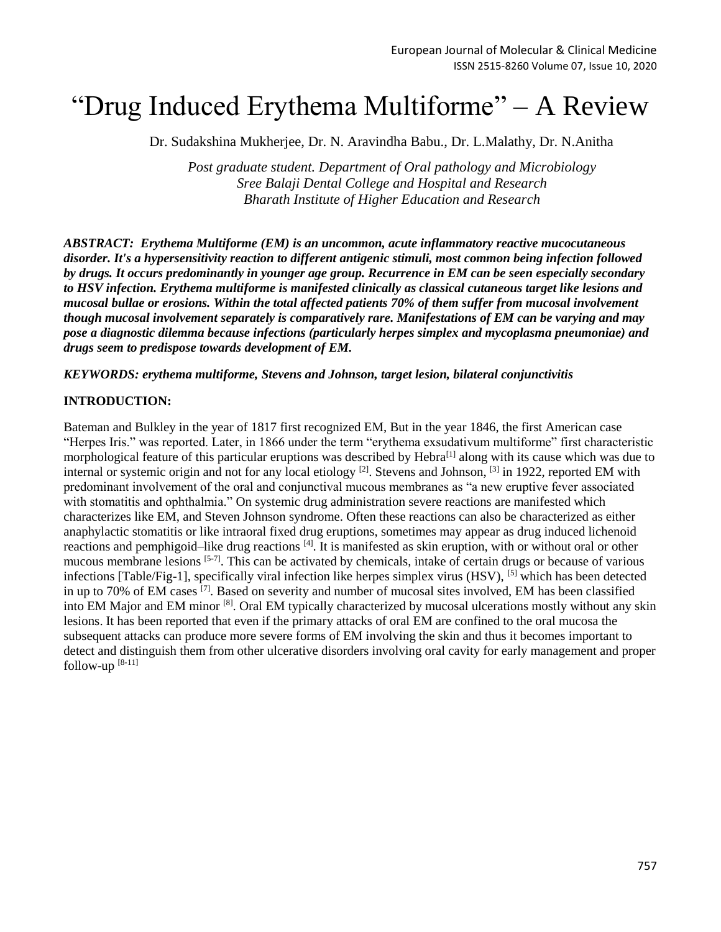# "Drug Induced Erythema Multiforme" – A Review

Dr. Sudakshina Mukherjee, Dr. N. Aravindha Babu., Dr. L.Malathy, Dr. N.Anitha

*Post graduate student. Department of Oral pathology and Microbiology Sree Balaji Dental College and Hospital and Research Bharath Institute of Higher Education and Research*

*ABSTRACT: Erythema Multiforme (EM) is an uncommon, acute inflammatory reactive mucocutaneous disorder. It's a hypersensitivity reaction to different antigenic stimuli, most common being infection followed by drugs. It occurs predominantly in younger age group. Recurrence in EM can be seen especially secondary to HSV infection. Erythema multiforme is manifested clinically as classical cutaneous target like lesions and mucosal bullae or erosions. Within the total affected patients 70% of them suffer from mucosal involvement though mucosal involvement separately is comparatively rare. Manifestations of EM can be varying and may pose a diagnostic dilemma because infections (particularly herpes simplex and mycoplasma pneumoniae) and drugs seem to predispose towards development of EM.*

*KEYWORDS: erythema multiforme, Stevens and Johnson, target lesion, bilateral conjunctivitis*

#### **INTRODUCTION:**

Bateman and Bulkley in the year of 1817 first recognized EM, But in the year 1846, the first American case "Herpes Iris." was reported. Later, in 1866 under the term "erythema exsudativum multiforme" first characteristic morphological feature of this particular eruptions was described by Hebra<sup>[1]</sup> along with its cause which was due to internal or systemic origin and not for any local etiology <sup>[2]</sup>. Stevens and Johnson, <sup>[3]</sup> in 1922, reported EM with predominant involvement of the oral and conjunctival mucous membranes as "a new eruptive fever associated with stomatitis and ophthalmia." On systemic drug administration severe reactions are manifested which characterizes like EM, and Steven Johnson syndrome. Often these reactions can also be characterized as either anaphylactic stomatitis or like intraoral fixed drug eruptions, sometimes may appear as drug induced lichenoid reactions and pemphigoid–like drug reactions [4]. It is manifested as skin eruption, with or without oral or other mucous membrane lesions [5-7]. This can be activated by chemicals, intake of certain drugs or because of various infections [Table/Fig-1], specifically viral infection like herpes simplex virus (HSV), [5] which has been detected in up to 70% of EM cases [7]. Based on severity and number of mucosal sites involved, EM has been classified into EM Major and EM minor <sup>[8]</sup>. Oral EM typically characterized by mucosal ulcerations mostly without any skin lesions. It has been reported that even if the primary attacks of oral EM are confined to the oral mucosa the subsequent attacks can produce more severe forms of EM involving the skin and thus it becomes important to detect and distinguish them from other ulcerative disorders involving oral cavity for early management and proper follow-up  $[8-11]$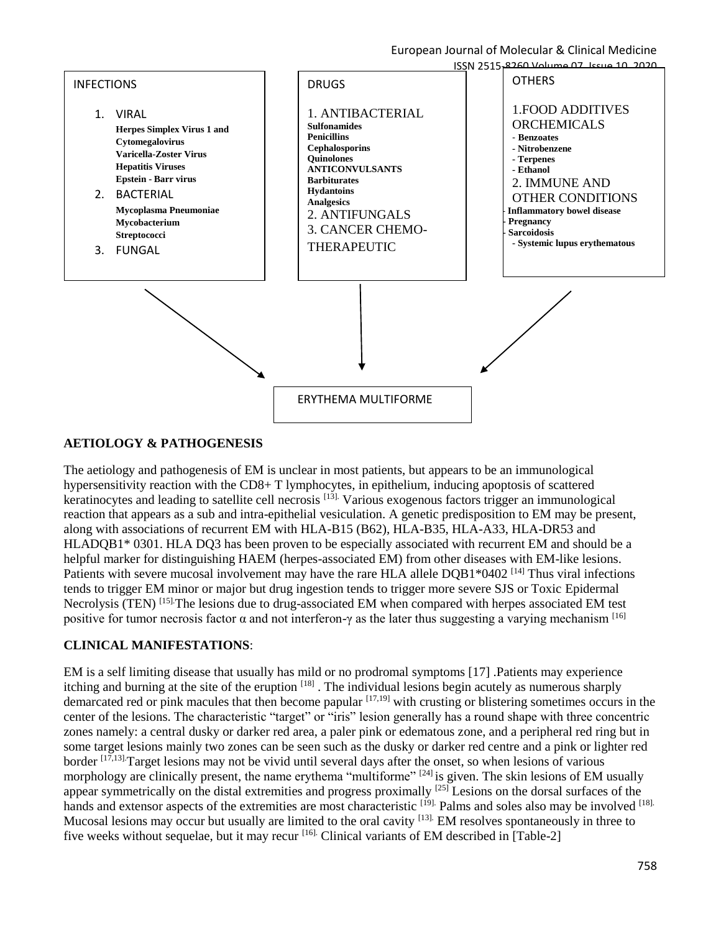European Journal of Molecular & Clinical Medicine



### **AETIOLOGY & PATHOGENESIS**

The aetiology and pathogenesis of EM is unclear in most patients, but appears to be an immunological hypersensitivity reaction with the CD8+ T lymphocytes, in epithelium, inducing apoptosis of scattered keratinocytes and leading to satellite cell necrosis [13]. Various exogenous factors trigger an immunological reaction that appears as a sub and intra-epithelial vesiculation. A genetic predisposition to EM may be present, along with associations of recurrent EM with HLA-B15 (B62), HLA-B35, HLA-A33, HLA-DR53 and HLADQB1\* 0301. HLA DQ3 has been proven to be especially associated with recurrent EM and should be a helpful marker for distinguishing HAEM (herpes-associated EM) from other diseases with EM-like lesions. Patients with severe mucosal involvement may have the rare HLA allele DOB1\*0402<sup>[14]</sup> Thus viral infections tends to trigger EM minor or major but drug ingestion tends to trigger more severe SJS or Toxic Epidermal Necrolysis (TEN)<sup>[15].</sup>The lesions due to drug-associated EM when compared with herpes associated EM test positive for tumor necrosis factor  $\alpha$  and not interferon-γ as the later thus suggesting a varying mechanism <sup>[16]</sup>

#### **CLINICAL MANIFESTATIONS**:

EM is a self limiting disease that usually has mild or no prodromal symptoms [17] .Patients may experience itching and burning at the site of the eruption <sup>[18]</sup>. The individual lesions begin acutely as numerous sharply demarcated red or pink macules that then become papular  $[17,19]$  with crusting or blistering sometimes occurs in the center of the lesions. The characteristic "target" or "iris" lesion generally has a round shape with three concentric zones namely: a central dusky or darker red area, a paler pink or edematous zone, and a peripheral red ring but in some target lesions mainly two zones can be seen such as the dusky or darker red centre and a pink or lighter red border [17,13].Target lesions may not be vivid until several days after the onset, so when lesions of various morphology are clinically present, the name erythema "multiforme" <sup>[24]</sup> is given. The skin lesions of EM usually appear symmetrically on the distal extremities and progress proximally <sup>[25]</sup> Lesions on the dorsal surfaces of the hands and extensor aspects of the extremities are most characteristic <sup>[19]</sup>. Palms and soles also may be involved <sup>[18].</sup> Mucosal lesions may occur but usually are limited to the oral cavity <sup>[13].</sup> EM resolves spontaneously in three to five weeks without sequelae, but it may recur<sup>[16]</sup>. Clinical variants of EM described in [Table-2]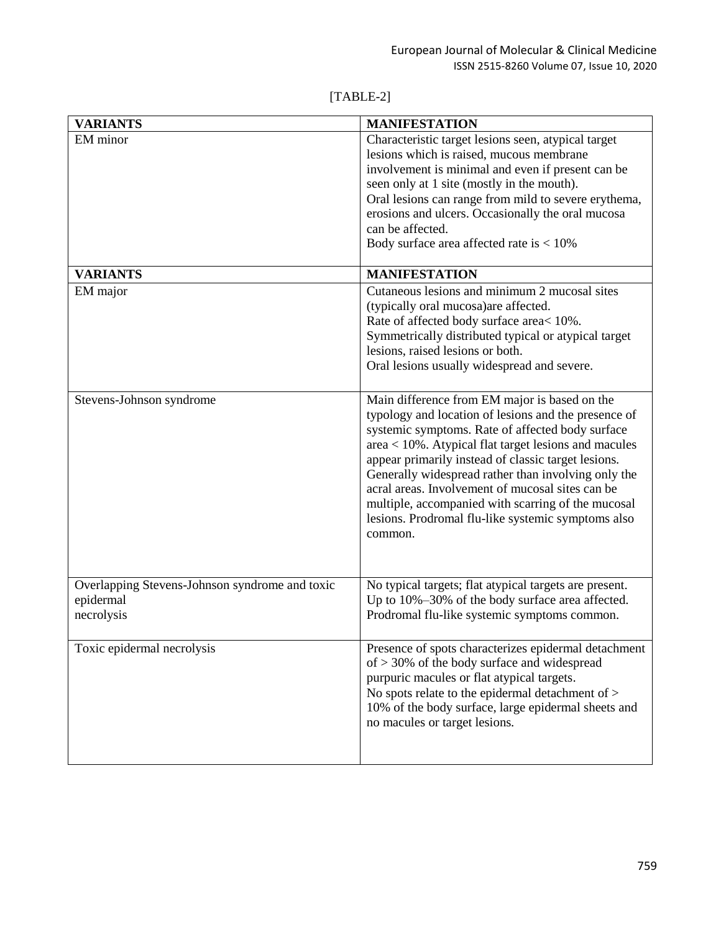## [TABLE-2]

| <b>VARIANTS</b>                                | <b>MANIFESTATION</b>                                                                                        |
|------------------------------------------------|-------------------------------------------------------------------------------------------------------------|
| EM minor                                       | Characteristic target lesions seen, atypical target                                                         |
|                                                | lesions which is raised, mucous membrane                                                                    |
|                                                | involvement is minimal and even if present can be                                                           |
|                                                | seen only at 1 site (mostly in the mouth).                                                                  |
|                                                | Oral lesions can range from mild to severe erythema,                                                        |
|                                                | erosions and ulcers. Occasionally the oral mucosa                                                           |
|                                                | can be affected.                                                                                            |
|                                                | Body surface area affected rate is $< 10\%$                                                                 |
|                                                |                                                                                                             |
| <b>VARIANTS</b>                                | <b>MANIFESTATION</b>                                                                                        |
| EM major                                       | Cutaneous lesions and minimum 2 mucosal sites                                                               |
|                                                | (typically oral mucosa) are affected.                                                                       |
|                                                | Rate of affected body surface area< 10%.                                                                    |
|                                                | Symmetrically distributed typical or atypical target                                                        |
|                                                | lesions, raised lesions or both.                                                                            |
|                                                | Oral lesions usually widespread and severe.                                                                 |
|                                                |                                                                                                             |
|                                                | Main difference from EM major is based on the                                                               |
| Stevens-Johnson syndrome                       | typology and location of lesions and the presence of                                                        |
|                                                | systemic symptoms. Rate of affected body surface                                                            |
|                                                |                                                                                                             |
|                                                | area < 10%. Atypical flat target lesions and macules<br>appear primarily instead of classic target lesions. |
|                                                | Generally widespread rather than involving only the                                                         |
|                                                | acral areas. Involvement of mucosal sites can be                                                            |
|                                                |                                                                                                             |
|                                                | multiple, accompanied with scarring of the mucosal                                                          |
|                                                | lesions. Prodromal flu-like systemic symptoms also                                                          |
|                                                | common.                                                                                                     |
|                                                |                                                                                                             |
|                                                |                                                                                                             |
| Overlapping Stevens-Johnson syndrome and toxic | No typical targets; flat atypical targets are present.                                                      |
| epidermal                                      | Up to 10%-30% of the body surface area affected.                                                            |
| necrolysis                                     | Prodromal flu-like systemic symptoms common.                                                                |
|                                                |                                                                                                             |
| Toxic epidermal necrolysis                     | Presence of spots characterizes epidermal detachment                                                        |
|                                                | of $>$ 30% of the body surface and widespread                                                               |
|                                                | purpuric macules or flat atypical targets.                                                                  |
|                                                | No spots relate to the epidermal detachment of >                                                            |
|                                                | 10% of the body surface, large epidermal sheets and                                                         |
|                                                | no macules or target lesions.                                                                               |
|                                                |                                                                                                             |
|                                                |                                                                                                             |
|                                                |                                                                                                             |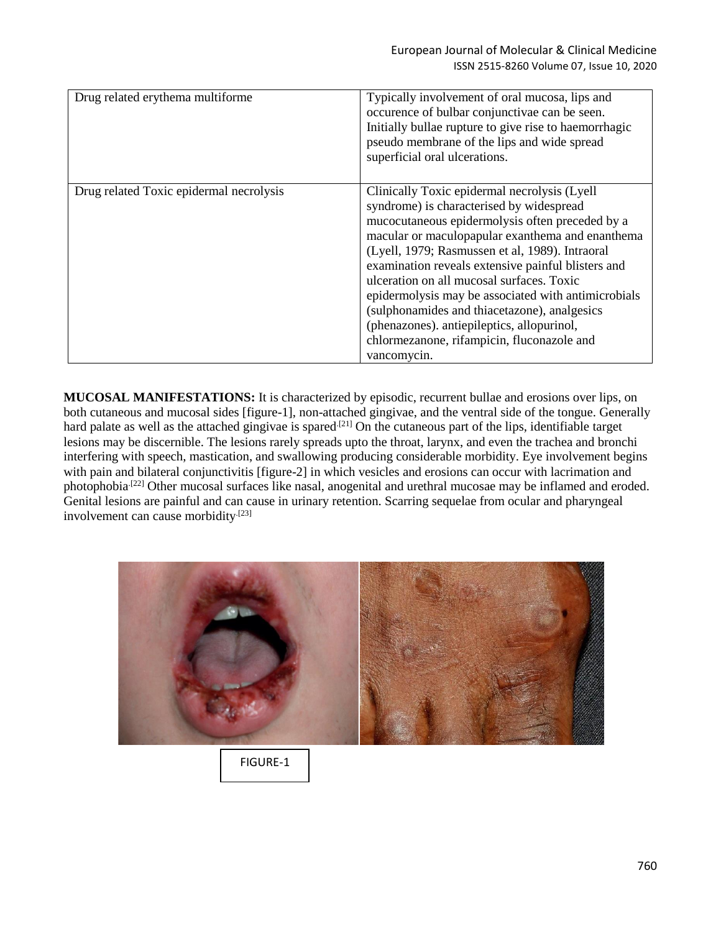| Drug related erythema multiforme        | Typically involvement of oral mucosa, lips and<br>occurence of bulbar conjunctivae can be seen.<br>Initially bullae rupture to give rise to haemorrhagic<br>pseudo membrane of the lips and wide spread<br>superficial oral ulcerations.                                                                                                                                                                                                                                                                                                                                |
|-----------------------------------------|-------------------------------------------------------------------------------------------------------------------------------------------------------------------------------------------------------------------------------------------------------------------------------------------------------------------------------------------------------------------------------------------------------------------------------------------------------------------------------------------------------------------------------------------------------------------------|
| Drug related Toxic epidermal necrolysis | Clinically Toxic epidermal necrolysis (Lyell<br>syndrome) is characterised by widespread<br>mucocutaneous epidermolysis often preceded by a<br>macular or maculopapular exanthema and enanthema<br>(Lyell, 1979; Rasmussen et al, 1989). Intraoral<br>examination reveals extensive painful blisters and<br>ulceration on all mucosal surfaces. Toxic<br>epidermolysis may be associated with antimicrobials<br>(sulphonamides and thiacetazone), analgesics<br>(phenazones). antiepileptics, allopurinol,<br>chlormezanone, rifampicin, fluconazole and<br>vancomycin. |

**MUCOSAL MANIFESTATIONS:** It is characterized by episodic, recurrent bullae and erosions over lips, on both cutaneous and mucosal sides [figure-1], non-attached gingivae, and the ventral side of the tongue. Generally hard palate as well as the attached gingivae is spared<sup>[21]</sup> On the cutaneous part of the lips, identifiable target lesions may be discernible. The lesions rarely spreads upto the throat, larynx, and even the trachea and bronchi interfering with speech, mastication, and swallowing producing considerable morbidity. Eye involvement begins with pain and bilateral conjunctivitis [figure-2] in which vesicles and erosions can occur with lacrimation and photophobia.[22] Other mucosal surfaces like nasal, anogenital and urethral mucosae may be inflamed and eroded. Genital lesions are painful and can cause in urinary retention. Scarring sequelae from ocular and pharyngeal involvement can cause morbidity<sup>[23]</sup>



FIGURE-1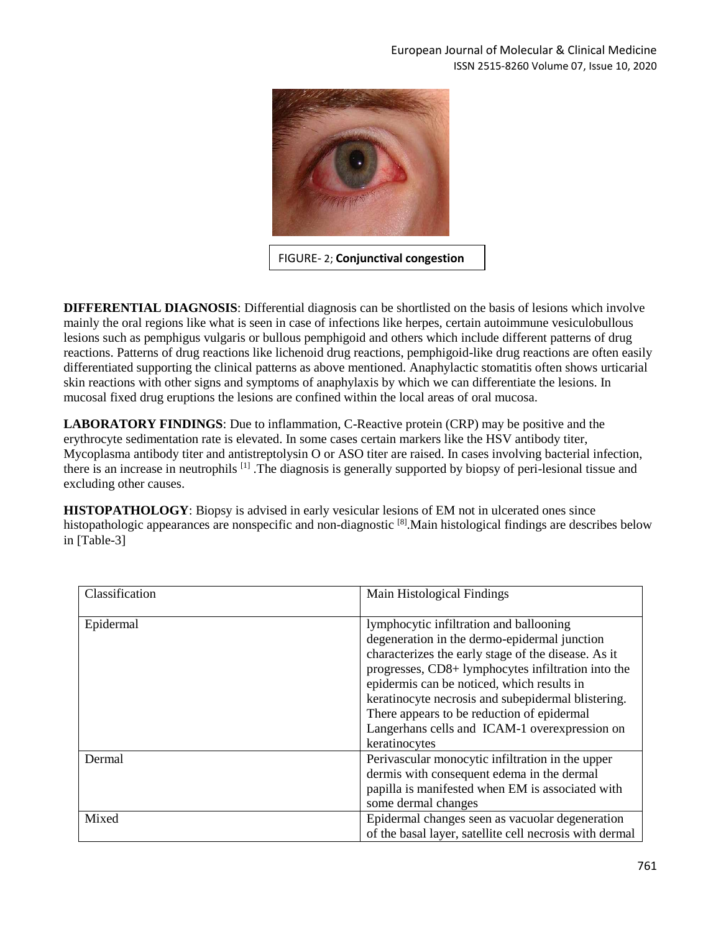

FIGURE- 2; **Conjunctival congestion**

**DIFFERENTIAL DIAGNOSIS**: Differential diagnosis can be shortlisted on the basis of lesions which involve mainly the oral regions like what is seen in case of infections like herpes, certain autoimmune vesiculobullous lesions such as pemphigus vulgaris or bullous pemphigoid and others which include different patterns of drug reactions. Patterns of drug reactions like lichenoid drug reactions, pemphigoid-like drug reactions are often easily differentiated supporting the clinical patterns as above mentioned. Anaphylactic stomatitis often shows urticarial skin reactions with other signs and symptoms of anaphylaxis by which we can differentiate the lesions. In mucosal fixed drug eruptions the lesions are confined within the local areas of oral mucosa.

**LABORATORY FINDINGS**: Due to inflammation, C-Reactive protein (CRP) may be positive and the erythrocyte sedimentation rate is elevated. In some cases certain markers like the HSV antibody titer, Mycoplasma antibody titer and antistreptolysin O or ASO titer are raised. In cases involving bacterial infection, there is an increase in neutrophils [1] .The diagnosis is generally supported by biopsy of peri-lesional tissue and excluding other causes.

**HISTOPATHOLOGY**: Biopsy is advised in early vesicular lesions of EM not in ulcerated ones since histopathologic appearances are nonspecific and non-diagnostic [8]. Main histological findings are describes below in [Table-3]

| Classification | Main Histological Findings                              |
|----------------|---------------------------------------------------------|
|                |                                                         |
| Epidermal      | lymphocytic infiltration and ballooning                 |
|                | degeneration in the dermo-epidermal junction            |
|                | characterizes the early stage of the disease. As it     |
|                | progresses, CD8+ lymphocytes infiltration into the      |
|                | epidermis can be noticed, which results in              |
|                | keratinocyte necrosis and subepidermal blistering.      |
|                | There appears to be reduction of epidermal              |
|                | Langerhans cells and ICAM-1 overexpression on           |
|                | keratinocytes                                           |
| Dermal         | Perivascular monocytic infiltration in the upper        |
|                | dermis with consequent edema in the dermal              |
|                | papilla is manifested when EM is associated with        |
|                | some dermal changes                                     |
| Mixed          | Epidermal changes seen as vacuolar degeneration         |
|                | of the basal layer, satellite cell necrosis with dermal |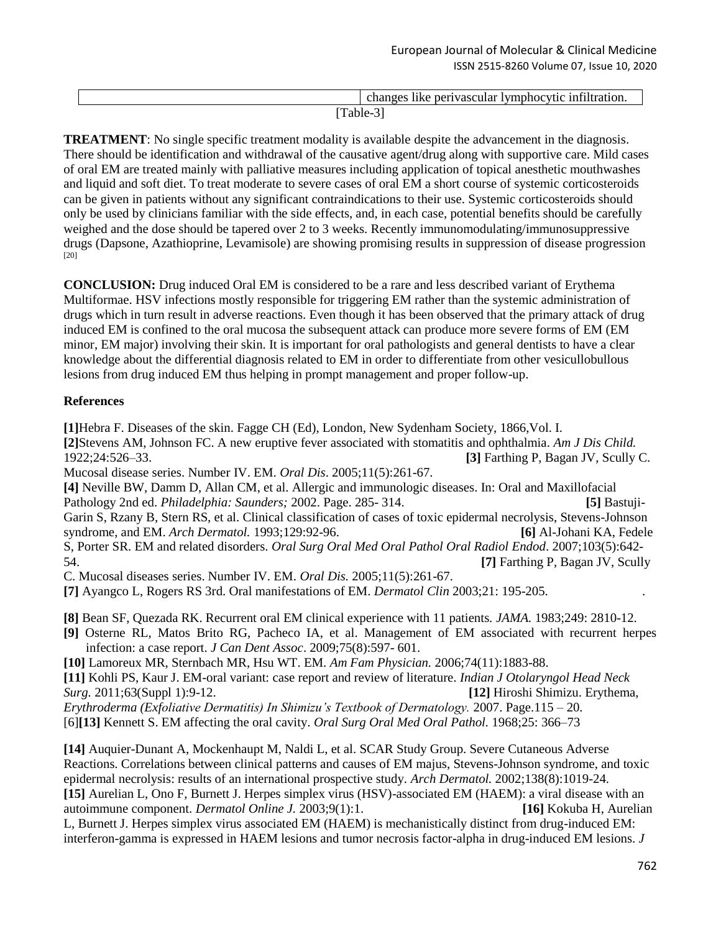|                 | $\sim$ 1<br>$\cdots$ c intilt $\cdots$<br>√mnh∩cvtic<br>ner<br>∩ha.<br>. ruvasev<br>`atıon.<br>пке. |
|-----------------|-----------------------------------------------------------------------------------------------------|
| - -<br>$\cdots$ |                                                                                                     |

**TREATMENT**: No single specific treatment modality is available despite the advancement in the diagnosis. There should be identification and withdrawal of the causative agent/drug along with supportive care. Mild cases of oral EM are treated mainly with palliative measures including application of topical anesthetic mouthwashes and liquid and soft diet. To treat moderate to severe cases of oral EM a short course of systemic corticosteroids can be given in patients without any significant contraindications to their use. Systemic corticosteroids should only be used by clinicians familiar with the side effects, and, in each case, potential benefits should be carefully weighed and the dose should be tapered over 2 to 3 weeks. Recently immunomodulating/immunosuppressive drugs (Dapsone, Azathioprine, Levamisole) are showing promising results in suppression of disease progression [20]

**CONCLUSION:** Drug induced Oral EM is considered to be a rare and less described variant of Erythema Multiformae. HSV infections mostly responsible for triggering EM rather than the systemic administration of drugs which in turn result in adverse reactions. Even though it has been observed that the primary attack of drug induced EM is confined to the oral mucosa the subsequent attack can produce more severe forms of EM (EM minor, EM major) involving their skin. It is important for oral pathologists and general dentists to have a clear knowledge about the differential diagnosis related to EM in order to differentiate from other vesicullobullous lesions from drug induced EM thus helping in prompt management and proper follow-up.

#### **References**

**[1]**Hebra F. Diseases of the skin. Fagge CH (Ed), London, New Sydenham Society, 1866,Vol. I. **[2]**Stevens AM, Johnson FC. A new eruptive fever associated with stomatitis and ophthalmia. *Am J Dis Child.*  1922;24:526–33. **[3]** Farthing P, Bagan JV, Scully C. Mucosal disease series. Number IV. EM. *Oral Dis*. 2005;11(5):261-67. **[4]** Neville BW, Damm D, Allan CM, et al. Allergic and immunologic diseases. In: Oral and Maxillofacial Pathology 2nd ed. *Philadelphia: Saunders;* 2002. Page. 285- 314. **[5]** Bastuji-Garin S, Rzany B, Stern RS, et al. Clinical classification of cases of toxic epidermal necrolysis, Stevens-Johnson syndrome, and EM. *Arch Dermatol.* 1993;129:92-96. **[6]** Al-Johani KA, Fedele S, Porter SR. EM and related disorders. *Oral Surg Oral Med Oral Pathol Oral Radiol Endod*. 2007;103(5):642- 54. **[7]** Farthing P, Bagan JV, Scully C. Mucosal diseases series. Number IV. EM. *Oral Dis.* 2005;11(5):261-67.

**[7]** Ayangco L, Rogers RS 3rd. Oral manifestations of EM. *Dermatol Clin* 2003;21: 195-205. .

**[8]** Bean SF, Quezada RK. Recurrent oral EM clinical experience with 11 patients. *JAMA.* 1983;249: 2810-12.

**[9]** Osterne RL, Matos Brito RG, Pacheco IA, et al. Management of EM associated with recurrent herpes infection: a case report. *J Can Dent Assoc*. 2009;75(8):597- 601.

**[10]** Lamoreux MR, Sternbach MR, Hsu WT. EM. *Am Fam Physician.* 2006;74(11):1883-88. **[11]** Kohli PS, Kaur J. EM-oral variant: case report and review of literature. *Indian J Otolaryngol Head Neck Surg.* 2011;63(Suppl 1):9-12. **[12]** Hiroshi Shimizu. Erythema,

*Erythroderma (Exfoliative Dermatitis) In Shimizu's Textbook of Dermatology.* 2007. Page.115 – 20. [6]**[13]** Kennett S. EM affecting the oral cavity. *Oral Surg Oral Med Oral Pathol.* 1968;25: 366–73

**[14]** Auquier-Dunant A, Mockenhaupt M, Naldi L, et al. SCAR Study Group. Severe Cutaneous Adverse Reactions. Correlations between clinical patterns and causes of EM majus, Stevens-Johnson syndrome, and toxic epidermal necrolysis: results of an international prospective study. *Arch Dermatol.* 2002;138(8):1019-24. **[15]** Aurelian L, Ono F, Burnett J. Herpes simplex virus (HSV)-associated EM (HAEM): a viral disease with an autoimmune component. *Dermatol Online J.* 2003;9(1):1. **[16]** Kokuba H, Aurelian

L, Burnett J. Herpes simplex virus associated EM (HAEM) is mechanistically distinct from drug-induced EM: interferon-gamma is expressed in HAEM lesions and tumor necrosis factor-alpha in drug-induced EM lesions. *J*